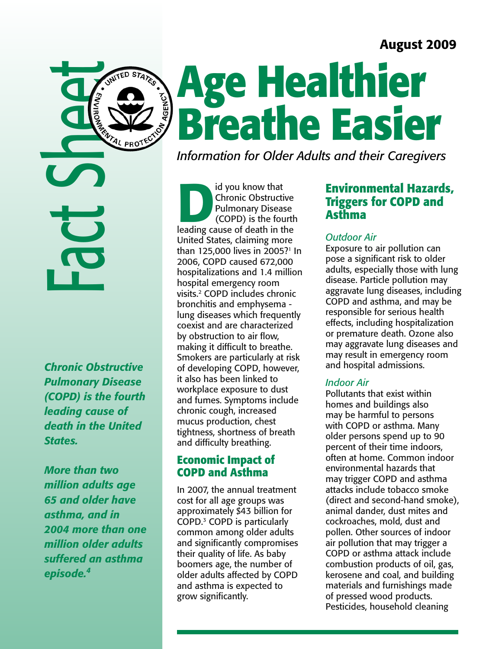## August 2009



**AGENCY** 

*Chronic Obstructive Pulmonary Disease (COPD) is the fourth leading cause of death in the United States.* 

*More than two million adults age 65 and older have asthma, and in 2004 more than one million older adults suffered an asthma episode.4* 

# **Age Healthier Breathe Easier**

*Information for Older Adults and their Caregivers* 

Id you know that<br>
Chronic Obstructive<br>
Pulmonary Disease<br>
(COPD) is the fourth<br>
leading cause of death in the Chronic Obstructive Pulmonary Disease (COPD) is the fourth United States, claiming more than 125,000 lives in 2005? 1 In 2006, COPD caused 672,000 hospitalizations and 1.4 million hospital emergency room visits. 2 COPD includes chronic bronchitis and emphysema lung diseases which frequently coexist and are characterized by obstruction to air flow, making it difficult to breathe. Smokers are particularly at risk of developing COPD, however, it also has been linked to workplace exposure to dust and fumes. Symptoms include chronic cough, increased mucus production, chest tightness, shortness of breath and difficulty breathing.

#### **Economic Impact of COPD and Asthma**

In 2007, the annual treatment cost for all age groups was approximately \$43 billion for COPD. 3 COPD is particularly common among older adults and significantly compromises their quality of life. As baby boomers age, the number of older adults affected by COPD and asthma is expected to grow significantly.

### **Environmental Hazards, Triggers for COPD and Asthma**

#### *Outdoor Air*

Exposure to air pollution can pose a significant risk to older adults, especially those with lung disease. Particle pollution may aggravate lung diseases, including COPD and asthma, and may be responsible for serious health effects, including hospitalization or premature death. Ozone also may aggravate lung diseases and may result in emergency room and hospital admissions.

#### *Indoor Air*

Pollutants that exist within homes and buildings also may be harmful to persons with COPD or asthma. Many older persons spend up to 90 percent of their time indoors, often at home. Common indoor environmental hazards that may trigger COPD and asthma attacks include tobacco smoke (direct and second-hand smoke), animal dander, dust mites and cockroaches, mold, dust and pollen. Other sources of indoor air pollution that may trigger a COPD or asthma attack include combustion products of oil, gas, kerosene and coal, and building materials and furnishings made of pressed wood products. Pesticides, household cleaning